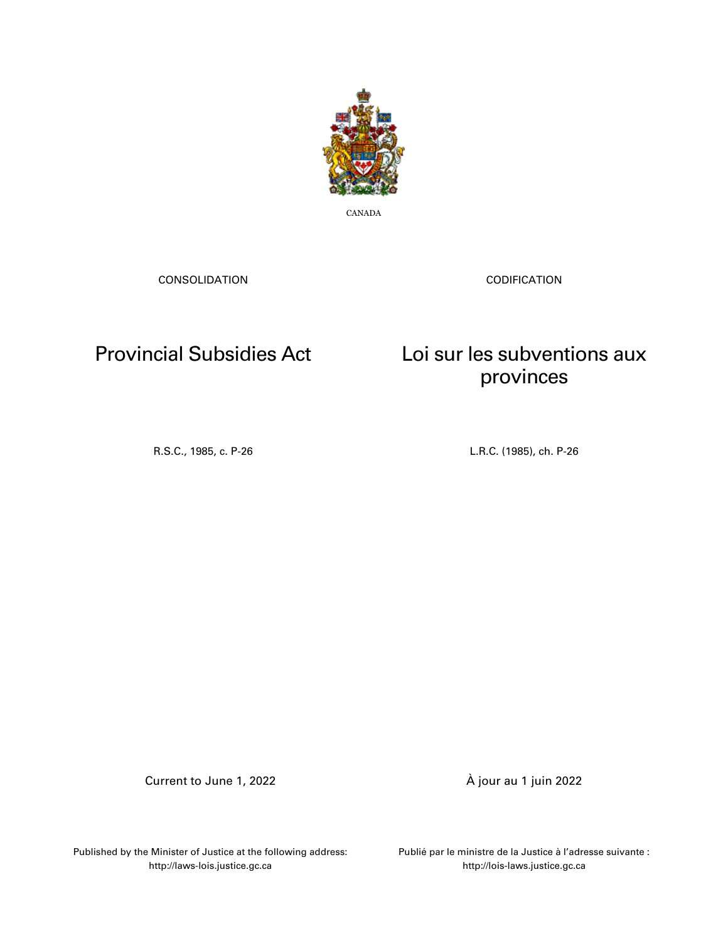

CANADA

CONSOLIDATION

CODIFICATION

# Provincial Subsidies Act

Loi sur les subventions aux provinces

R.S.C., 1985, c. P-26 L.R.C. (1985), ch. P-26

Current to June 1, 2022 À jour au 1 juin 2022

Published by the Minister of Justice at the following address: http://laws-lois.justice.gc.ca

Publié par le ministre de la Justice à l'adresse suivante : http://lois-laws.justice.gc.ca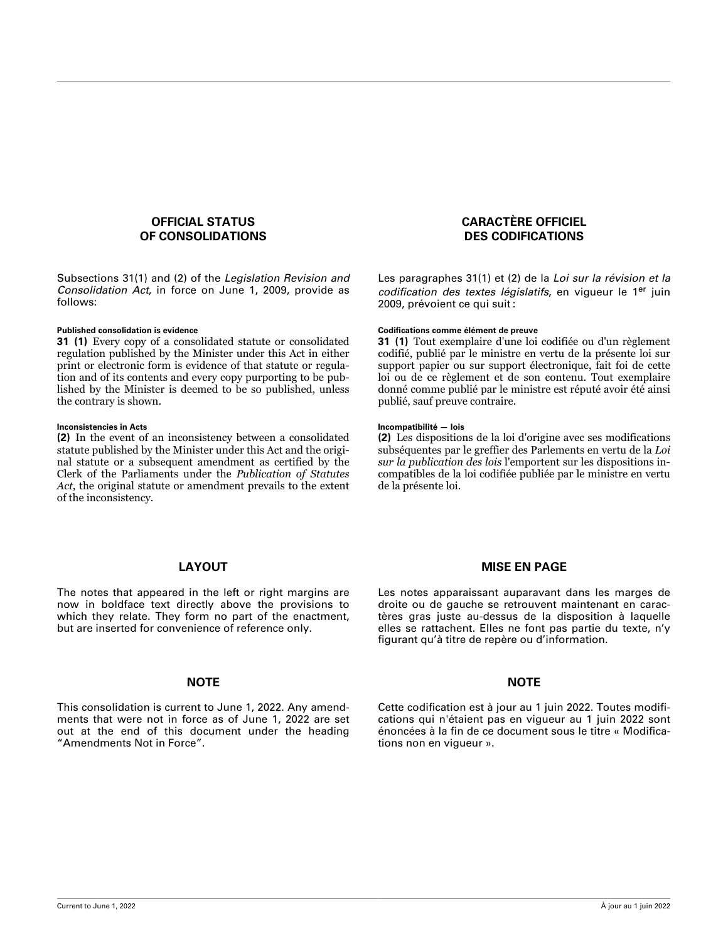### **OFFICIAL STATUS OF CONSOLIDATIONS**

Subsections 31(1) and (2) of the *Legislation Revision and Consolidation Act*, in force on June 1, 2009, provide as follows:

**31 (1)** Every copy of a consolidated statute or consolidated regulation published by the Minister under this Act in either print or electronic form is evidence of that statute or regulation and of its contents and every copy purporting to be published by the Minister is deemed to be so published, unless the contrary is shown.

### **Inconsistencies in Acts Incompatibilité — lois**

**(2)** In the event of an inconsistency between a consolidated statute published by the Minister under this Act and the original statute or a subsequent amendment as certified by the Clerk of the Parliaments under the *Publication of Statutes Act*, the original statute or amendment prevails to the extent of the inconsistency.

### **CARACTÈRE OFFICIEL DES CODIFICATIONS**

Les paragraphes 31(1) et (2) de la *Loi sur la révision et la codification des textes législatifs*, en vigueur le 1er juin 2009, prévoient ce qui suit :

### **Published consolidation is evidence Codifications comme élément de preuve**

**31 (1)** Tout exemplaire d'une loi codifiée ou d'un règlement codifié, publié par le ministre en vertu de la présente loi sur support papier ou sur support électronique, fait foi de cette loi ou de ce règlement et de son contenu. Tout exemplaire donné comme publié par le ministre est réputé avoir été ainsi publié, sauf preuve contraire.

**(2)** Les dispositions de la loi d'origine avec ses modifications subséquentes par le greffier des Parlements en vertu de la *Loi sur la publication des lois* l'emportent sur les dispositions incompatibles de la loi codifiée publiée par le ministre en vertu de la présente loi.

### **LAYOUT**

The notes that appeared in the left or right margins are now in boldface text directly above the provisions to which they relate. They form no part of the enactment, but are inserted for convenience of reference only.

### **NOTE NOTE**

This consolidation is current to June 1, 2022. Any amend‐ ments that were not in force as of June 1, 2022 are set out at the end of this document under the heading "Amendments Not in Force".

### **MISE EN PAGE**

Les notes apparaissant auparavant dans les marges de droite ou de gauche se retrouvent maintenant en caractères gras juste au-dessus de la disposition à laquelle elles se rattachent. Elles ne font pas partie du texte, n'y figurant qu'à titre de repère ou d'information.

Cette codification est à jour au 1 juin 2022. Toutes modifications qui n'étaient pas en vigueur au 1 juin 2022 sont énoncées à la fin de ce document sous le titre « Modifications non en vigueur ».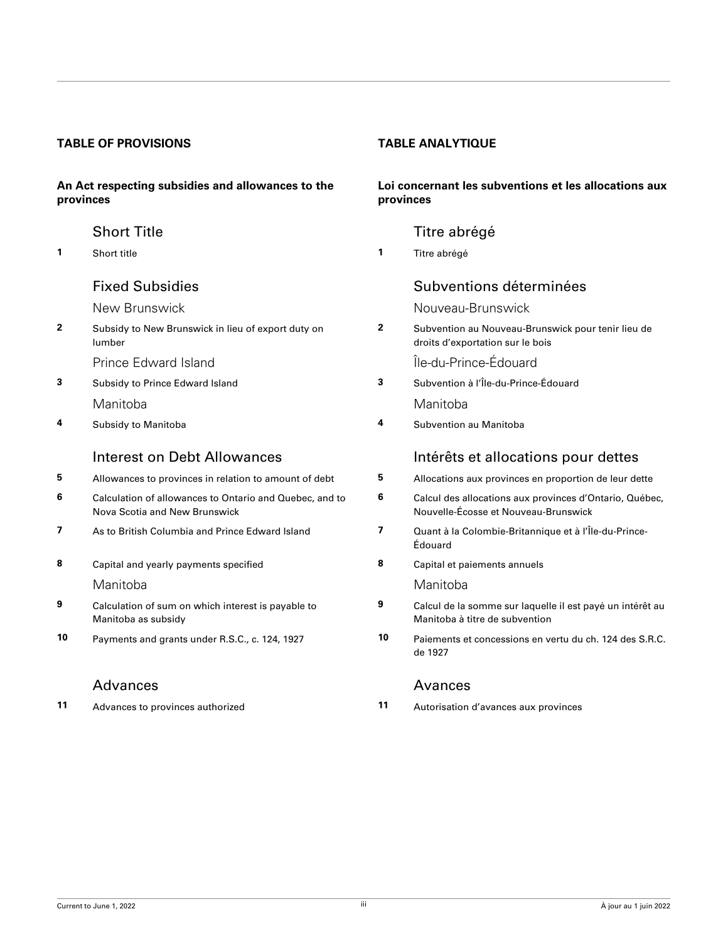### **TABLE OF PROVISIONS TABLE ANALYTIQUE**

### **An Act respecting subsidies and allowances to the provinces**

- 
- **2** [Subsidy to New Brunswick in lieu of export duty on](#page-3-0) [lumber](#page-3-0)
	- [Prince Edward Island](#page-3-0) **International Community** Prince-Édouard
- [Manitoba](#page-4-0) [Manitoba](#page-4-0)
- 

- **5** [Allowances to provinces in relation to amount of debt](#page-4-0) **5** [Allocations aux provinces en proportion de leur dette](#page-4-0)
- **6** [Calculation of allowances to Ontario and Quebec, and to](#page-5-0) [Nova Scotia and New Brunswick](#page-5-0)
- **7** [As to British Columbia and Prince Edward Island](#page-6-0) **7** [Quant à la Colombie-Britannique et à l'Île-du-Prince-](#page-6-0)
- **8** [Capital and yearly payments specified](#page-6-0) **8** [Capital et paiements annuels](#page-6-0)

- **9** [Calculation of sum on which interest is payable to](#page-7-0) [Manitoba as subsidy](#page-7-0)
- 

### [Advances](#page-8-0) **[Avances](#page-8-0)** Avances

### **Loi concernant les subventions et les allocations aux provinces**

### [Short Title](#page-3-0) **Title 1966** Short Title 1986 Short Title abrégé

**1** [Short title](#page-3-0) **1** [Titre abrégé](#page-3-0)

### [Fixed Subsidies](#page-3-0) [Subventions déterminées](#page-3-0)

[New Brunswick](#page-3-0) [Nouveau-Brunswick](#page-3-0)

**2** [Subvention au Nouveau-Brunswick pour tenir lieu de](#page-3-0) [droits d'exportation sur le bois](#page-3-0)

**3** [Subsidy to Prince Edward Island](#page-3-0) **3** [Subvention à l'Île-du-Prince-Édouard](#page-3-0)

**4** [Subsidy to Manitoba](#page-4-0) **4** [Subvention au Manitoba](#page-4-0)

### Interest on Debt Allowances **Intérêts** et allocations pour dettes

- **6** [Calcul des allocations aux provinces d'Ontario, Québec,](#page-5-0)
- [Nouvelle-Écosse et Nouveau-Brunswick](#page-5-0)
- [Édouard](#page-6-0)
- 

### [Manitoba](#page-7-0) **Manitoba** Manitoba

- **9** [Calcul de la somme sur laquelle il est payé un intérêt au](#page-7-0) [Manitoba à titre de subvention](#page-7-0)
- **10** [Payments and grants under R.S.C., c. 124, 1927](#page-7-0) **10** [Paiements et concessions en vertu du ch. 124 des S.R.C.](#page-7-0) [de 1927](#page-7-0)

**11** [Advances to provinces authorized](#page-8-0) **11** [Autorisation d'avances aux provinces](#page-8-0)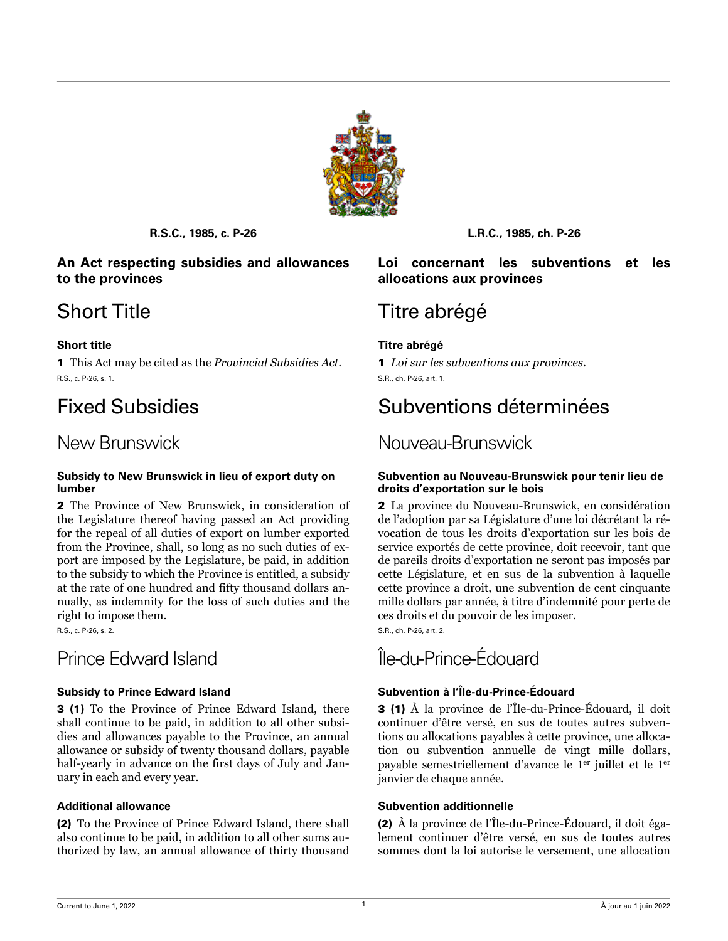

### <span id="page-3-0"></span>**An Act respecting subsidies and allowances to the provinces**

1 This Act may be cited as the *Provincial Subsidies Act*. R.S., c. P-26, s. 1.

### **Subsidy to New Brunswick in lieu of export duty on lumber**

2 The Province of New Brunswick, in consideration of the Legislature thereof having passed an Act providing for the repeal of all duties of export on lumber exported from the Province, shall, so long as no such duties of export are imposed by the Legislature, be paid, in addition to the subsidy to which the Province is entitled, a subsidy at the rate of one hundred and fifty thousand dollars annually, as indemnity for the loss of such duties and the right to impose them.

R.S., c. P-26, s. 2.

3 (1) To the Province of Prince Edward Island, there shall continue to be paid, in addition to all other subsidies and allowances payable to the Province, an annual allowance or subsidy of twenty thousand dollars, payable half-yearly in advance on the first days of July and January in each and every year.

(2) To the Province of Prince Edward Island, there shall also continue to be paid, in addition to all other sums authorized by law, an annual allowance of thirty thousand

**R.S.C., 1985, c. P-26 L.R.C., 1985, ch. P-26**

### **Loi concernant les subventions et les allocations aux provinces**

# Short Title Titre abrégé

### **Short title Titre abrégé**

1 *Loi sur les subventions aux provinces*. S.R., ch. P-26, art. 1.

# Fixed Subsidies Subventions déterminées

# New Brunswick Nouveau-Brunswick

### **Subvention au Nouveau-Brunswick pour tenir lieu de droits d'exportation sur le bois**

2 La province du Nouveau-Brunswick, en considération de l'adoption par sa Législature d'une loi décrétant la révocation de tous les droits d'exportation sur les bois de service exportés de cette province, doit recevoir, tant que de pareils droits d'exportation ne seront pas imposés par cette Législature, et en sus de la subvention à laquelle cette province a droit, une subvention de cent cinquante mille dollars par année, à titre d'indemnité pour perte de ces droits et du pouvoir de les imposer.

S.R., ch. P-26, art. 2.

# Prince Edward Island **International Community** Prince-Édouard

### **Subsidy to Prince Edward Island Subvention à l'Île-du-Prince-Édouard**

3 (1) À la province de l'Île-du-Prince-Édouard, il doit continuer d'être versé, en sus de toutes autres subventions ou allocations payables à cette province, une allocation ou subvention annuelle de vingt mille dollars, payable semestriellement d'avance le 1<sup>er</sup> juillet et le 1<sup>er</sup> janvier de chaque année.

### **Additional allowance Subvention additionnelle**

(2) À la province de l'Île-du-Prince-Édouard, il doit également continuer d'être versé, en sus de toutes autres sommes dont la loi autorise le versement, une allocation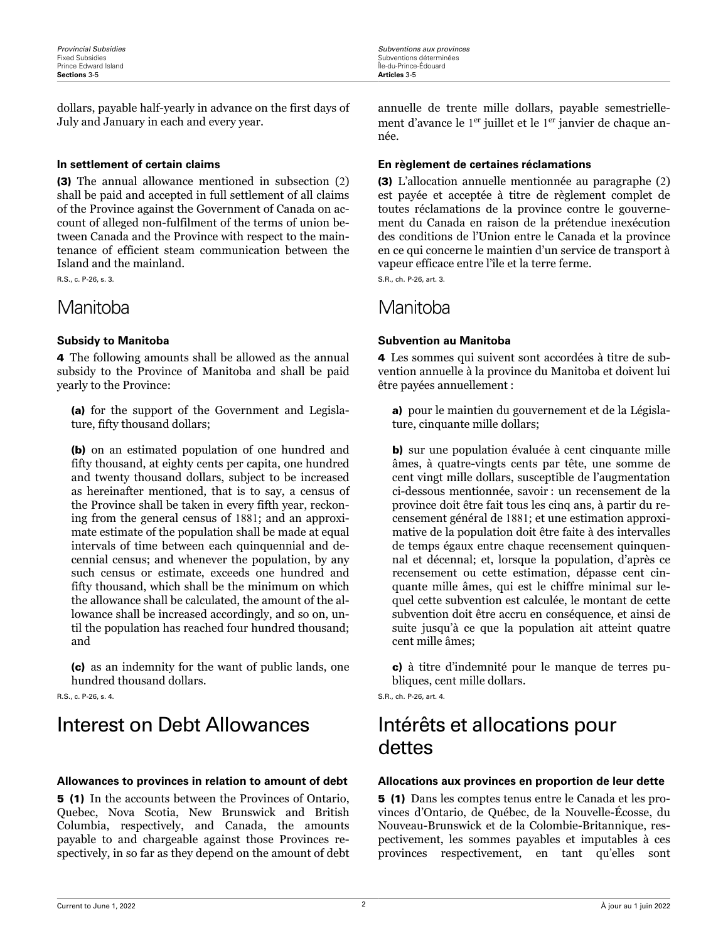<span id="page-4-0"></span>dollars, payable half-yearly in advance on the first days of July and January in each and every year.

(3) The annual allowance mentioned in subsection (2) shall be paid and accepted in full settlement of all claims of the Province against the Government of Canada on account of alleged non-fulfilment of the terms of union between Canada and the Province with respect to the maintenance of efficient steam communication between the Island and the mainland.

R.S., c. P-26, s. 3.

## Manitoba Manitoba

4 The following amounts shall be allowed as the annual subsidy to the Province of Manitoba and shall be paid yearly to the Province:

(a) for the support of the Government and Legislature, fifty thousand dollars;

(b) on an estimated population of one hundred and fifty thousand, at eighty cents per capita, one hundred and twenty thousand dollars, subject to be increased as hereinafter mentioned, that is to say, a census of the Province shall be taken in every fifth year, reckoning from the general census of 1881; and an approximate estimate of the population shall be made at equal intervals of time between each quinquennial and decennial census; and whenever the population, by any such census or estimate, exceeds one hundred and fifty thousand, which shall be the minimum on which the allowance shall be calculated, the amount of the allowance shall be increased accordingly, and so on, until the population has reached four hundred thousand; and

(c) as an indemnity for the want of public lands, one hundred thousand dollars.

R.S., c. P-26, s. 4.

# Interest on Debt Allowances Intérêts et allocations pour

### **Allowances to provinces in relation to amount of debt Allocations aux provinces en proportion de leur dette**

5 (1) In the accounts between the Provinces of Ontario, Quebec, Nova Scotia, New Brunswick and British Columbia, respectively, and Canada, the amounts payable to and chargeable against those Provinces respectively, in so far as they depend on the amount of debt

annuelle de trente mille dollars, payable semestriellement d'avance le 1<sup>er</sup> juillet et le 1<sup>er</sup> janvier de chaque année.

### **In settlement of certain claims En règlement de certaines réclamations**

(3) L'allocation annuelle mentionnée au paragraphe (2) est payée et acceptée à titre de règlement complet de toutes réclamations de la province contre le gouvernement du Canada en raison de la prétendue inexécution des conditions de l'Union entre le Canada et la province en ce qui concerne le maintien d'un service de transport à vapeur efficace entre l'île et la terre ferme.

S.R., ch. P-26, art. 3.

### **Subsidy to Manitoba Subvention au Manitoba**

4 Les sommes qui suivent sont accordées à titre de subvention annuelle à la province du Manitoba et doivent lui être payées annuellement :

a) pour le maintien du gouvernement et de la Législature, cinquante mille dollars;

b) sur une population évaluée à cent cinquante mille âmes, à quatre-vingts cents par tête, une somme de cent vingt mille dollars, susceptible de l'augmentation ci-dessous mentionnée, savoir : un recensement de la province doit être fait tous les cinq ans, à partir du recensement général de 1881; et une estimation approximative de la population doit être faite à des intervalles de temps égaux entre chaque recensement quinquennal et décennal; et, lorsque la population, d'après ce recensement ou cette estimation, dépasse cent cinquante mille âmes, qui est le chiffre minimal sur lequel cette subvention est calculée, le montant de cette subvention doit être accru en conséquence, et ainsi de suite jusqu'à ce que la population ait atteint quatre cent mille âmes;

c) à titre d'indemnité pour le manque de terres publiques, cent mille dollars.

S.R., ch. P-26, art. 4.

# dettes

5 (1) Dans les comptes tenus entre le Canada et les provinces d'Ontario, de Québec, de la Nouvelle-Écosse, du Nouveau-Brunswick et de la Colombie-Britannique, respectivement, les sommes payables et imputables à ces provinces respectivement, en tant qu'elles sont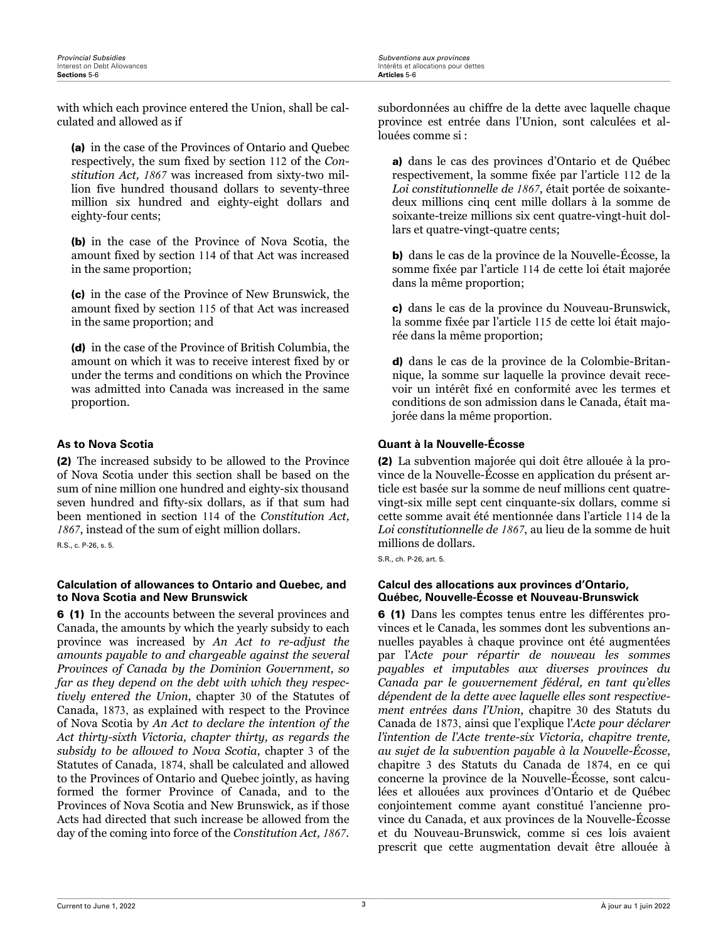Intérêts et allocations pour dettes<br>**Articles** 5-6

<span id="page-5-0"></span>with which each province entered the Union, shall be calculated and allowed as if

(a) in the case of the Provinces of Ontario and Quebec respectively, the sum fixed by section 112 of the *Constitution Act, 1867* was increased from sixty-two million five hundred thousand dollars to seventy-three million six hundred and eighty-eight dollars and eighty-four cents;

(b) in the case of the Province of Nova Scotia, the amount fixed by section 114 of that Act was increased in the same proportion;

(c) in the case of the Province of New Brunswick, the amount fixed by section 115 of that Act was increased in the same proportion; and

(d) in the case of the Province of British Columbia, the amount on which it was to receive interest fixed by or under the terms and conditions on which the Province was admitted into Canada was increased in the same proportion.

(2) The increased subsidy to be allowed to the Province of Nova Scotia under this section shall be based on the sum of nine million one hundred and eighty-six thousand seven hundred and fifty-six dollars, as if that sum had been mentioned in section 114 of the *Constitution Act, 1867*, instead of the sum of eight million dollars. R.S., c. P-26, s. 5.

### **Calculation of allowances to Ontario and Quebec, and to Nova Scotia and New Brunswick**

6 (1) In the accounts between the several provinces and Canada, the amounts by which the yearly subsidy to each province was increased by *An Act to re-adjust the amounts payable to and chargeable against the several Provinces of Canada by the Dominion Government, so far as they depend on the debt with which they respectively entered the Union*, chapter 30 of the Statutes of Canada, 1873, as explained with respect to the Province of Nova Scotia by *An Act to declare the intention of the Act thirty-sixth Victoria, chapter thirty, as regards the subsidy to be allowed to Nova Scotia*, chapter 3 of the Statutes of Canada, 1874, shall be calculated and allowed to the Provinces of Ontario and Quebec jointly, as having formed the former Province of Canada, and to the Provinces of Nova Scotia and New Brunswick, as if those Acts had directed that such increase be allowed from the day of the coming into force of the *Constitution Act, 1867*.

subordonnées au chiffre de la dette avec laquelle chaque province est entrée dans l'Union, sont calculées et allouées comme si :

a) dans le cas des provinces d'Ontario et de Québec respectivement, la somme fixée par l'article 112 de la *Loi constitutionnelle de 1867*, était portée de soixantedeux millions cinq cent mille dollars à la somme de soixante-treize millions six cent quatre-vingt-huit dollars et quatre-vingt-quatre cents;

b) dans le cas de la province de la Nouvelle-Écosse, la somme fixée par l'article 114 de cette loi était majorée dans la même proportion;

c) dans le cas de la province du Nouveau-Brunswick, la somme fixée par l'article 115 de cette loi était majorée dans la même proportion;

d) dans le cas de la province de la Colombie-Britannique, la somme sur laquelle la province devait recevoir un intérêt fixé en conformité avec les termes et conditions de son admission dans le Canada, était majorée dans la même proportion.

### **As to Nova Scotia Quant à la Nouvelle-Écosse**

(2) La subvention majorée qui doit être allouée à la province de la Nouvelle-Écosse en application du présent article est basée sur la somme de neuf millions cent quatrevingt-six mille sept cent cinquante-six dollars, comme si cette somme avait été mentionnée dans l'article 114 de la *Loi constitutionnelle de 1867*, au lieu de la somme de huit millions de dollars.

S.R., ch. P-26, art. 5.

### **Calcul des allocations aux provinces d'Ontario, Québec, Nouvelle-Écosse et Nouveau-Brunswick**

6 (1) Dans les comptes tenus entre les différentes provinces et le Canada, les sommes dont les subventions annuelles payables à chaque province ont été augmentées par l'*Acte pour répartir de nouveau les sommes payables et imputables aux diverses provinces du Canada par le gouvernement fédéral, en tant qu'elles dépendent de la dette avec laquelle elles sont respectivement entrées dans l'Union*, chapitre 30 des Statuts du Canada de 1873, ainsi que l'explique l'*Acte pour déclarer l'intention de l'Acte trente-six Victoria, chapitre trente, au sujet de la subvention payable à la Nouvelle-Écosse*, chapitre 3 des Statuts du Canada de 1874, en ce qui concerne la province de la Nouvelle-Écosse, sont calculées et allouées aux provinces d'Ontario et de Québec conjointement comme ayant constitué l'ancienne province du Canada, et aux provinces de la Nouvelle-Écosse et du Nouveau-Brunswick, comme si ces lois avaient prescrit que cette augmentation devait être allouée à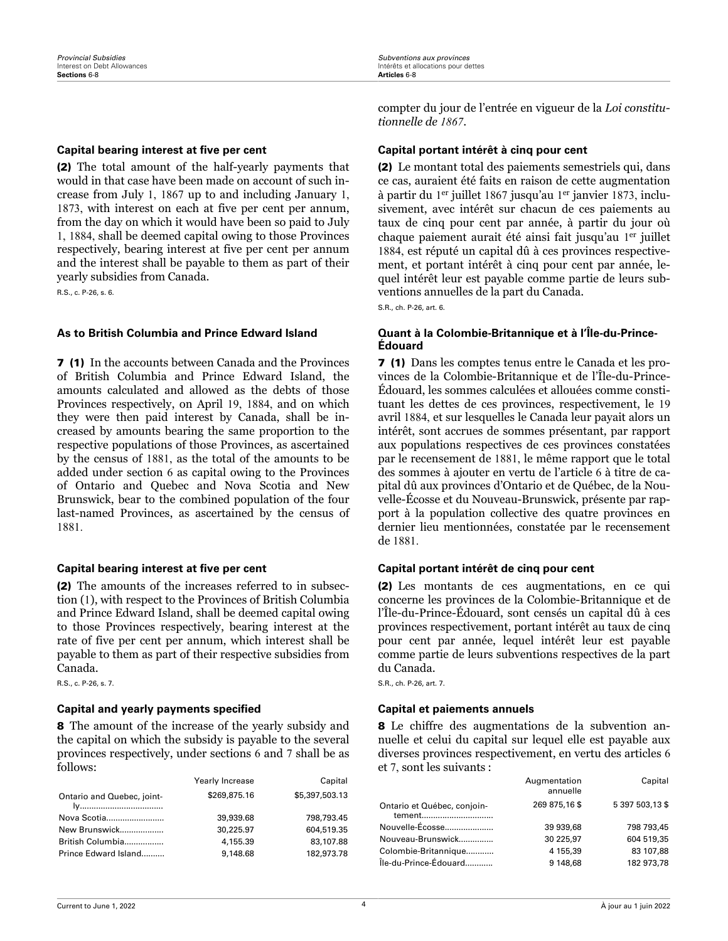(2) The total amount of the half-yearly payments that would in that case have been made on account of such increase from July 1, 1867 up to and including January 1, 1873, with interest on each at five per cent per annum, from the day on which it would have been so paid to July 1, 1884, shall be deemed capital owing to those Provinces respectively, bearing interest at five per cent per annum and the interest shall be payable to them as part of their yearly subsidies from Canada.

R.S., c. P-26, s. 6.

7 (1) In the accounts between Canada and the Provinces of British Columbia and Prince Edward Island, the amounts calculated and allowed as the debts of those Provinces respectively, on April 19, 1884, and on which they were then paid interest by Canada, shall be increased by amounts bearing the same proportion to the respective populations of those Provinces, as ascertained by the census of 1881, as the total of the amounts to be added under section 6 as capital owing to the Provinces of Ontario and Quebec and Nova Scotia and New Brunswick, bear to the combined population of the four last-named Provinces, as ascertained by the census of 1881.

(2) The amounts of the increases referred to in subsection (1), with respect to the Provinces of British Columbia and Prince Edward Island, shall be deemed capital owing to those Provinces respectively, bearing interest at the rate of five per cent per annum, which interest shall be payable to them as part of their respective subsidies from Canada.

R.S., c. P-26, s. 7.

### **Capital and yearly payments specified Capital et paiements annuels**

8 The amount of the increase of the yearly subsidy and the capital on which the subsidy is payable to the several provinces respectively, under sections 6 and 7 shall be as follows:

|                            | Yearly Increase | Capital        |
|----------------------------|-----------------|----------------|
| Ontario and Quebec, joint- | \$269,875.16    | \$5,397,503.13 |
| Nova Scotia                | 39,939.68       | 798.793.45     |
| New Brunswick              | 30.225.97       | 604,519.35     |
| British Columbia           | 4,155.39        | 83,107.88      |
| Prince Edward Island       | 9,148.68        | 182.973.78     |

compter du jour de l'entrée en vigueur de la *Loi constitutionnelle de 1867*.

### <span id="page-6-0"></span>**Capital bearing interest at five per cent Capital portant intérêt à cinq pour cent**

(2) Le montant total des paiements semestriels qui, dans ce cas, auraient été faits en raison de cette augmentation à partir du 1 er juillet 1867 jusqu'au 1 er janvier 1873, inclusivement, avec intérêt sur chacun de ces paiements au taux de cinq pour cent par année, à partir du jour où chaque paiement aurait été ainsi fait jusqu'au 1 er juillet 1884, est réputé un capital dû à ces provinces respectivement, et portant intérêt à cinq pour cent par année, lequel intérêt leur est payable comme partie de leurs subventions annuelles de la part du Canada.

S.R., ch. P-26, art. 6.

### **As to British Columbia and Prince Edward Island Quant à la Colombie-Britannique et à l'Île-du-Prince-Édouard**

7 (1) Dans les comptes tenus entre le Canada et les provinces de la Colombie-Britannique et de l'Île-du-Prince-Édouard, les sommes calculées et allouées comme constituant les dettes de ces provinces, respectivement, le 19 avril 1884, et sur lesquelles le Canada leur payait alors un intérêt, sont accrues de sommes présentant, par rapport aux populations respectives de ces provinces constatées par le recensement de 1881, le même rapport que le total des sommes à ajouter en vertu de l'article 6 à titre de capital dû aux provinces d'Ontario et de Québec, de la Nouvelle-Écosse et du Nouveau-Brunswick, présente par rapport à la population collective des quatre provinces en dernier lieu mentionnées, constatée par le recensement de 1881.

### **Capital bearing interest at five per cent Capital portant intérêt de cinq pour cent**

(2) Les montants de ces augmentations, en ce qui concerne les provinces de la Colombie-Britannique et de l'Île-du-Prince-Édouard, sont censés un capital dû à ces provinces respectivement, portant intérêt au taux de cinq pour cent par année, lequel intérêt leur est payable comme partie de leurs subventions respectives de la part du Canada.

S.R., ch. P-26, art. 7.

8 Le chiffre des augmentations de la subvention annuelle et celui du capital sur lequel elle est payable aux diverses provinces respectivement, en vertu des articles 6 et 7, sont les suivants :

| annuelle                                                                 |  |
|--------------------------------------------------------------------------|--|
| 5 397 503,13 \$<br>269 875,16\$<br>Ontario et Québec, conjoin-<br>tement |  |
| Nouvelle-Écosse<br>798 793.45<br>39 939.68                               |  |
| 604 519.35<br>30 225.97<br>Nouveau-Brunswick                             |  |
| 83 107.88<br>Colombie-Britannique<br>4 155.39                            |  |
| Île-du-Prince-Édouard<br>182 973.78<br>9 148.68                          |  |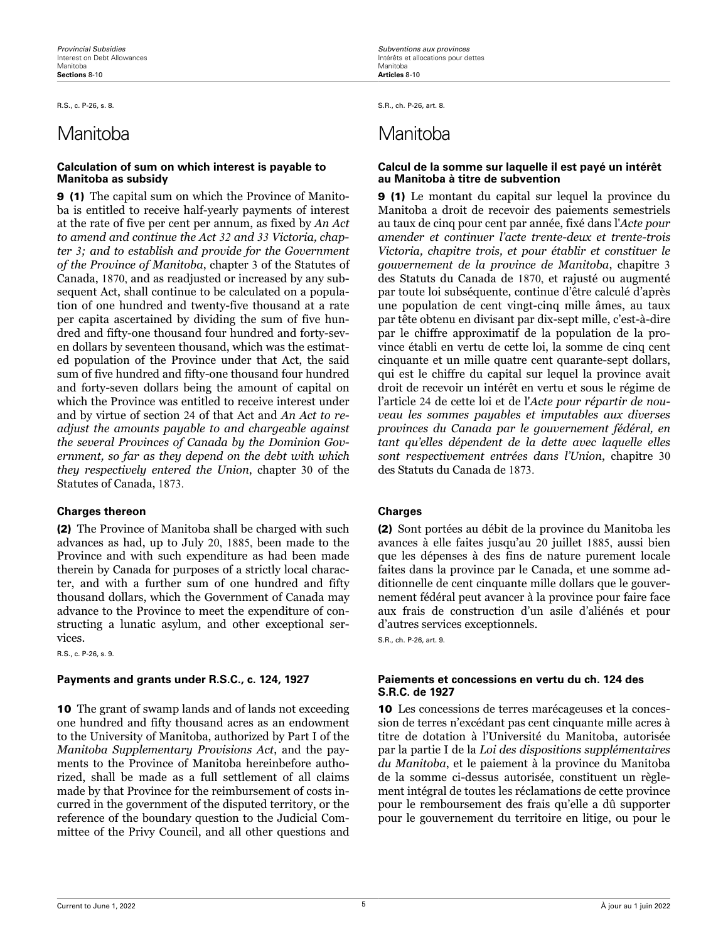### **Calculation of sum on which interest is payable to Manitoba as subsidy**

9 (1) The capital sum on which the Province of Manitoba is entitled to receive half-yearly payments of interest at the rate of five per cent per annum, as fixed by *An Act to amend and continue the Act 32 and 33 Victoria, chapter 3; and to establish and provide for the Government of the Province of Manitoba*, chapter 3 of the Statutes of Canada, 1870, and as readjusted or increased by any subsequent Act, shall continue to be calculated on a population of one hundred and twenty-five thousand at a rate per capita ascertained by dividing the sum of five hundred and fifty-one thousand four hundred and forty-seven dollars by seventeen thousand, which was the estimated population of the Province under that Act, the said sum of five hundred and fifty-one thousand four hundred and forty-seven dollars being the amount of capital on which the Province was entitled to receive interest under and by virtue of section 24 of that Act and *An Act to readjust the amounts payable to and chargeable against the several Provinces of Canada by the Dominion Government, so far as they depend on the debt with which they respectively entered the Union*, chapter 30 of the Statutes of Canada, 1873.

### **Charges thereon Charges**

(2) The Province of Manitoba shall be charged with such advances as had, up to July 20, 1885, been made to the Province and with such expenditure as had been made therein by Canada for purposes of a strictly local character, and with a further sum of one hundred and fifty thousand dollars, which the Government of Canada may advance to the Province to meet the expenditure of constructing a lunatic asylum, and other exceptional services.

R.S., c. P-26, s. 9.

10 The grant of swamp lands and of lands not exceeding one hundred and fifty thousand acres as an endowment to the University of Manitoba, authorized by Part I of the *Manitoba Supplementary Provisions Act*, and the payments to the Province of Manitoba hereinbefore authorized, shall be made as a full settlement of all claims made by that Province for the reimbursement of costs incurred in the government of the disputed territory, or the reference of the boundary question to the Judicial Committee of the Privy Council, and all other questions and

<span id="page-7-0"></span>R.S., c. P-26, s. 8. S.R., ch. P-26, art. 8.

# Manitoba Manitoba

### **Calcul de la somme sur laquelle il est payé un intérêt au Manitoba à titre de subvention**

9 (1) Le montant du capital sur lequel la province du Manitoba a droit de recevoir des paiements semestriels au taux de cinq pour cent par année, fixé dans l'*Acte pour amender et continuer l'acte trente-deux et trente-trois Victoria, chapitre trois, et pour établir et constituer le gouvernement de la province de Manitoba*, chapitre 3 des Statuts du Canada de 1870, et rajusté ou augmenté par toute loi subséquente, continue d'être calculé d'après une population de cent vingt-cinq mille âmes, au taux par tête obtenu en divisant par dix-sept mille, c'est-à-dire par le chiffre approximatif de la population de la province établi en vertu de cette loi, la somme de cinq cent cinquante et un mille quatre cent quarante-sept dollars, qui est le chiffre du capital sur lequel la province avait droit de recevoir un intérêt en vertu et sous le régime de l'article 24 de cette loi et de l'*Acte pour répartir de nouveau les sommes payables et imputables aux diverses provinces du Canada par le gouvernement fédéral, en tant qu'elles dépendent de la dette avec laquelle elles sont respectivement entrées dans l'Union*, chapitre 30 des Statuts du Canada de 1873.

(2) Sont portées au débit de la province du Manitoba les avances à elle faites jusqu'au 20 juillet 1885, aussi bien que les dépenses à des fins de nature purement locale faites dans la province par le Canada, et une somme additionnelle de cent cinquante mille dollars que le gouvernement fédéral peut avancer à la province pour faire face aux frais de construction d'un asile d'aliénés et pour d'autres services exceptionnels.

S.R., ch. P-26, art. 9.

### **Payments and grants under R.S.C., c. 124, 1927 Paiements et concessions en vertu du ch. 124 des S.R.C. de 1927**

10 Les concessions de terres marécageuses et la concession de terres n'excédant pas cent cinquante mille acres à titre de dotation à l'Université du Manitoba, autorisée par la partie I de la *Loi des dispositions supplémentaires du Manitoba*, et le paiement à la province du Manitoba de la somme ci-dessus autorisée, constituent un règlement intégral de toutes les réclamations de cette province pour le remboursement des frais qu'elle a dû supporter pour le gouvernement du territoire en litige, ou pour le